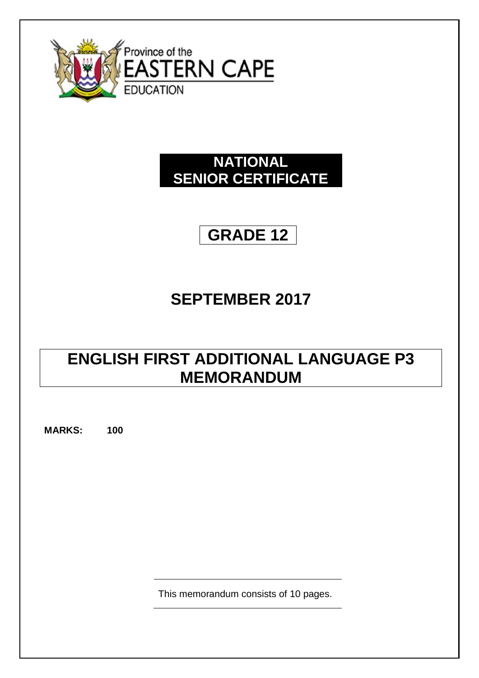

# **NATIONAL SENIOR CERTIFICATE**

# **GRADE 12**

# **SEPTEMBER 2017**

# **ENGLISH FIRST ADDITIONAL LANGUAGE P3 MEMORANDUM**

**MARKS: 100**

This memorandum consists of 10 pages.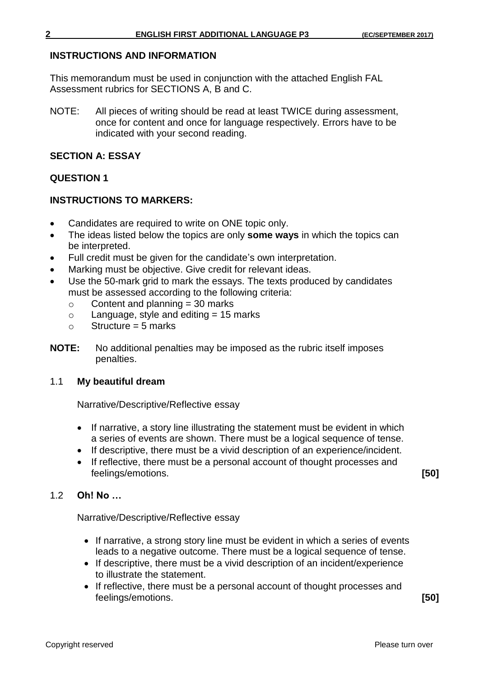#### **INSTRUCTIONS AND INFORMATION**

This memorandum must be used in conjunction with the attached English FAL Assessment rubrics for SECTIONS A, B and C.

NOTE: All pieces of writing should be read at least TWICE during assessment, once for content and once for language respectively. Errors have to be indicated with your second reading.

#### **SECTION A: ESSAY**

#### **QUESTION 1**

#### **INSTRUCTIONS TO MARKERS:**

- Candidates are required to write on ONE topic only.
- The ideas listed below the topics are only **some ways** in which the topics can be interpreted.
- Full credit must be given for the candidate's own interpretation.
- Marking must be objective. Give credit for relevant ideas.
- Use the 50-mark grid to mark the essays. The texts produced by candidates must be assessed according to the following criteria:
	- $\circ$  Content and planning = 30 marks
	- $\circ$  Language, style and editing = 15 marks
	- $\circ$  Structure = 5 marks
- **NOTE:** No additional penalties may be imposed as the rubric itself imposes penalties.

#### 1.1 **My beautiful dream**

Narrative/Descriptive/Reflective essay

- If narrative, a story line illustrating the statement must be evident in which a series of events are shown. There must be a logical sequence of tense.
- If descriptive, there must be a vivid description of an experience/incident.
- If reflective, there must be a personal account of thought processes and feelings/emotions. **[50]**

#### 1.2 **Oh! No …**

Narrative/Descriptive/Reflective essay

- If narrative, a strong story line must be evident in which a series of events leads to a negative outcome. There must be a logical sequence of tense.
- If descriptive, there must be a vivid description of an incident/experience to illustrate the statement.
- If reflective, there must be a personal account of thought processes and feelings/emotions. **[50]**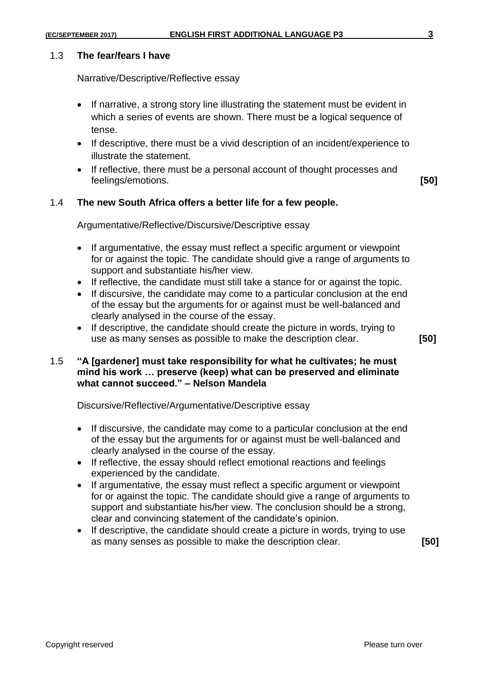#### 1.3 **The fear/fears I have**

Narrative/Descriptive/Reflective essay

- If narrative, a strong story line illustrating the statement must be evident in which a series of events are shown. There must be a logical sequence of tense.
- If descriptive, there must be a vivid description of an incident/experience to illustrate the statement.
- If reflective, there must be a personal account of thought processes and feelings/emotions. **[50]**

#### 1.4 **The new South Africa offers a better life for a few people.**

Argumentative/Reflective/Discursive/Descriptive essay

- If argumentative, the essay must reflect a specific argument or viewpoint for or against the topic. The candidate should give a range of arguments to support and substantiate his/her view.
- If reflective, the candidate must still take a stance for or against the topic.
- If discursive, the candidate may come to a particular conclusion at the end of the essay but the arguments for or against must be well-balanced and clearly analysed in the course of the essay.
- If descriptive, the candidate should create the picture in words, trying to use as many senses as possible to make the description clear. **[50]**

#### 1.5 **"A [gardener] must take responsibility for what he cultivates; he must mind his work … preserve (keep) what can be preserved and eliminate what cannot succeed." – Nelson Mandela**

Discursive/Reflective/Argumentative/Descriptive essay

- If discursive, the candidate may come to a particular conclusion at the end of the essay but the arguments for or against must be well-balanced and clearly analysed in the course of the essay.
- If reflective, the essay should reflect emotional reactions and feelings experienced by the candidate.
- If argumentative, the essay must reflect a specific argument or viewpoint for or against the topic. The candidate should give a range of arguments to support and substantiate his/her view. The conclusion should be a strong, clear and convincing statement of the candidate's opinion.
- If descriptive, the candidate should create a picture in words, trying to use as many senses as possible to make the description clear. **[50]**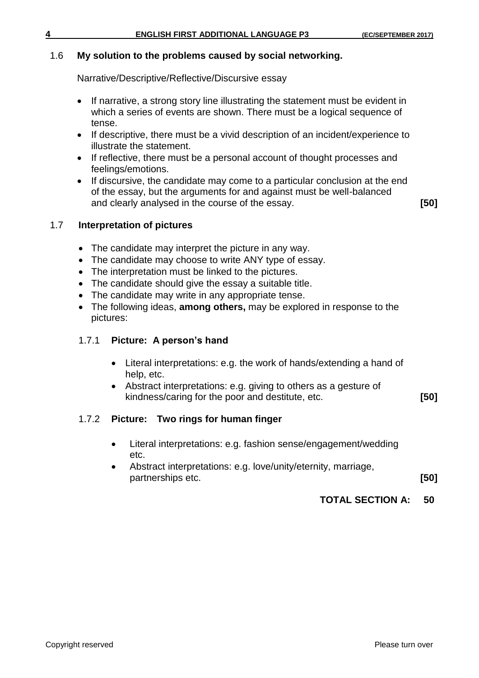#### 1.6 **My solution to the problems caused by social networking.**

Narrative/Descriptive/Reflective/Discursive essay

- If narrative, a strong story line illustrating the statement must be evident in which a series of events are shown. There must be a logical sequence of tense.
- If descriptive, there must be a vivid description of an incident/experience to illustrate the statement.
- If reflective, there must be a personal account of thought processes and feelings/emotions.
- If discursive, the candidate may come to a particular conclusion at the end of the essay, but the arguments for and against must be well-balanced and clearly analysed in the course of the essay. **[50]**

#### 1.7 **Interpretation of pictures**

- The candidate may interpret the picture in any way.
- The candidate may choose to write ANY type of essay.
- The interpretation must be linked to the pictures.
- The candidate should give the essay a suitable title.
- The candidate may write in any appropriate tense.
- The following ideas, **among others,** may be explored in response to the pictures:

#### 1.7.1 **Picture: A person's hand**

- Literal interpretations: e.g. the work of hands/extending a hand of help, etc.
- Abstract interpretations: e.g. giving to others as a gesture of kindness/caring for the poor and destitute, etc. **[50]**

### 1.7.2 **Picture: Two rings for human finger**

- Literal interpretations: e.g. fashion sense/engagement/wedding etc.
- Abstract interpretations: e.g. love/unity/eternity, marriage, partnerships etc. **[50]**

#### **TOTAL SECTION A: 50**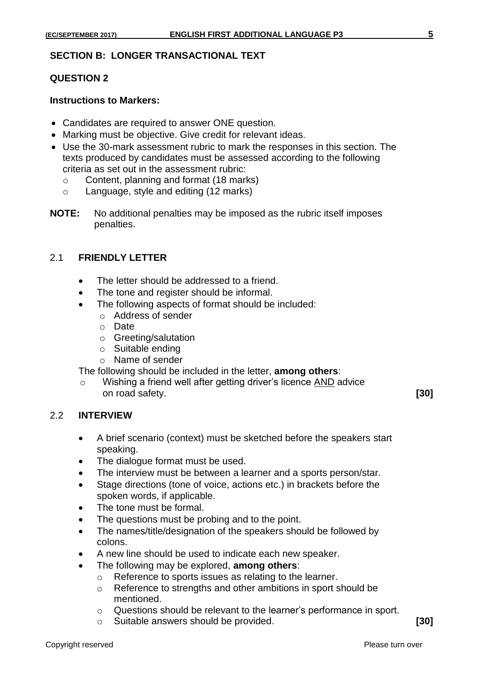#### **SECTION B: LONGER TRANSACTIONAL TEXT**

#### **QUESTION 2**

#### **Instructions to Markers:**

- Candidates are required to answer ONE question.
- Marking must be objective. Give credit for relevant ideas.
- Use the 30-mark assessment rubric to mark the responses in this section. The texts produced by candidates must be assessed according to the following criteria as set out in the assessment rubric:
	- o Content, planning and format (18 marks)
	- o Language, style and editing (12 marks)
- **NOTE:** No additional penalties may be imposed as the rubric itself imposes penalties.

#### 2.1 **FRIENDLY LETTER**

- The letter should be addressed to a friend.
- The tone and register should be informal.
- The following aspects of format should be included:
	- o Address of sender
	- o Date
	- o Greeting/salutation
	- o Suitable ending
	- o Name of sender

The following should be included in the letter, **among others**:

o Wishing a friend well after getting driver's licence AND advice on road safety. **[30]**

#### 2.2 **INTERVIEW**

- A brief scenario (context) must be sketched before the speakers start speaking.
- The dialogue format must be used.
- The interview must be between a learner and a sports person/star.
- Stage directions (tone of voice, actions etc.) in brackets before the spoken words, if applicable.
- The tone must be formal.
- The questions must be probing and to the point.
- The names/title/designation of the speakers should be followed by colons.
- A new line should be used to indicate each new speaker.
- The following may be explored, **among others**:
	- o Reference to sports issues as relating to the learner.
	- o Reference to strengths and other ambitions in sport should be mentioned.
	- o Questions should be relevant to the learner's performance in sport.
	- o Suitable answers should be provided. **[30]**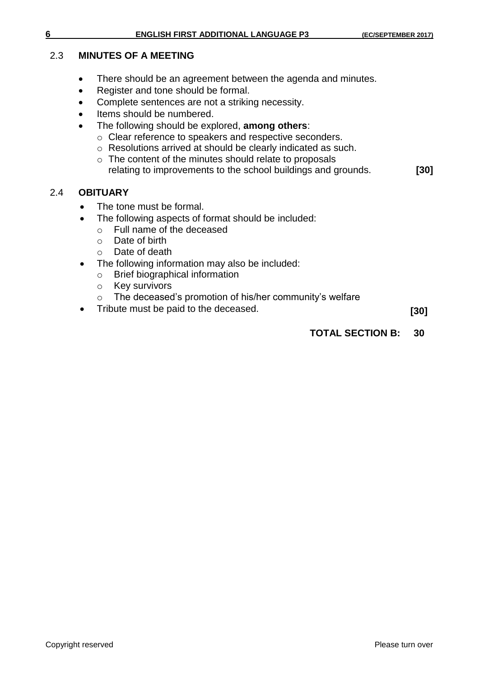#### 2.3 **MINUTES OF A MEETING**

- There should be an agreement between the agenda and minutes.
- Register and tone should be formal.
- Complete sentences are not a striking necessity.
- Items should be numbered.
- The following should be explored, **among others**:
	- o Clear reference to speakers and respective seconders.
	- o Resolutions arrived at should be clearly indicated as such.
	- o The content of the minutes should relate to proposals relating to improvements to the school buildings and grounds. **[30]**

#### 2.4 **OBITUARY**

- The tone must be formal.
- The following aspects of format should be included:
	- o Full name of the deceased
	- o Date of birth
	- o Date of death
- The following information may also be included:
	- o Brief biographical information
	- o Key survivors
	- o The deceased's promotion of his/her community's welfare
- Tribute must be paid to the deceased. **[30]**

#### **TOTAL SECTION B: 30**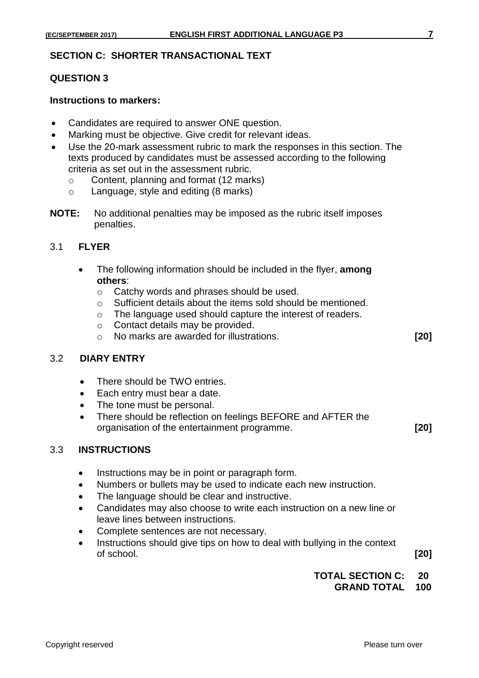#### **SECTION C: SHORTER TRANSACTIONAL TEXT**

#### **QUESTION 3**

#### **Instructions to markers:**

- Candidates are required to answer ONE question.
- Marking must be objective. Give credit for relevant ideas.
- Use the 20-mark assessment rubric to mark the responses in this section. The texts produced by candidates must be assessed according to the following criteria as set out in the assessment rubric.
	- o Content, planning and format (12 marks)
	- o Language, style and editing (8 marks)
- **NOTE:** No additional penalties may be imposed as the rubric itself imposes penalties.

#### 3.1 **FLYER**

- The following information should be included in the flyer, **among others**:
	- o Catchy words and phrases should be used.
	- o Sufficient details about the items sold should be mentioned.
	- o The language used should capture the interest of readers.
	- o Contact details may be provided.
	- o No marks are awarded for illustrations. **[20]**

### 3.2 **DIARY ENTRY**

- There should be TWO entries.
- Each entry must bear a date.
- The tone must be personal.
- There should be reflection on feelings BEFORE and AFTER the organisation of the entertainment programme. **[20]**

#### 3.3 **INSTRUCTIONS**

- Instructions may be in point or paragraph form.
- Numbers or bullets may be used to indicate each new instruction.
- The language should be clear and instructive.
- Candidates may also choose to write each instruction on a new line or leave lines between instructions.
- Complete sentences are not necessary.
- Instructions should give tips on how to deal with bullying in the context of school. **[20]**

**TOTAL SECTION C: 20**

**GRAND TOTAL 100**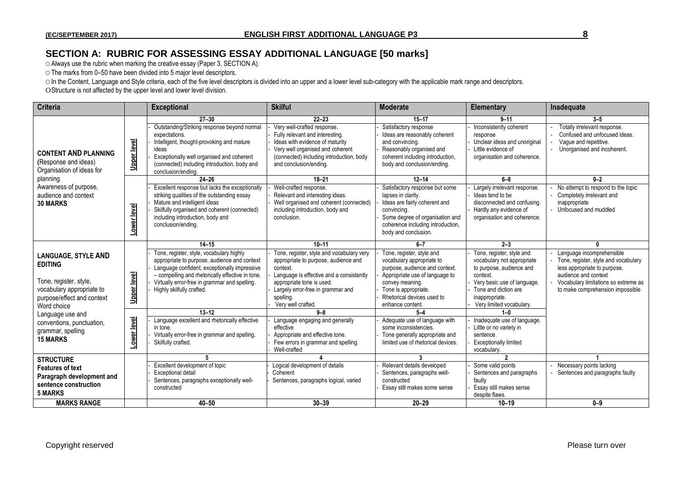### **SECTION A: RUBRIC FOR ASSESSING ESSAY ADDITIONAL LANGUAGE [50 marks]**

O Always use the rubric when marking the creative essay (Paper 3, SECTION A).

O The marks from 0–50 have been divided into 5 major level descriptors.

O In the Content, Language and Style criteria, each of the five level descriptors is divided into an upper and a lower level sub-category with the applicable mark range and descriptors.

OStructure is not affected by the upper level and lower level division.

| <b>Criteria</b>                                                                                                                                                                                                                           |                            | <b>Exceptional</b>                                                                                                                                                                                                                                                                                                                                                                                                                       | <b>Skilful</b>                                                                                                                                                                                                                                                                                                                                                                                                   | <b>Moderate</b>                                                                                                                                                                                                                                                                                                                                                                 | <b>Elementary</b>                                                                                                                                                                                                                                                                                                                                | Inadequate                                                                                                                                                                                                 |
|-------------------------------------------------------------------------------------------------------------------------------------------------------------------------------------------------------------------------------------------|----------------------------|------------------------------------------------------------------------------------------------------------------------------------------------------------------------------------------------------------------------------------------------------------------------------------------------------------------------------------------------------------------------------------------------------------------------------------------|------------------------------------------------------------------------------------------------------------------------------------------------------------------------------------------------------------------------------------------------------------------------------------------------------------------------------------------------------------------------------------------------------------------|---------------------------------------------------------------------------------------------------------------------------------------------------------------------------------------------------------------------------------------------------------------------------------------------------------------------------------------------------------------------------------|--------------------------------------------------------------------------------------------------------------------------------------------------------------------------------------------------------------------------------------------------------------------------------------------------------------------------------------------------|------------------------------------------------------------------------------------------------------------------------------------------------------------------------------------------------------------|
| <b>CONTENT AND PLANNING</b><br>(Response and ideas)<br>Organisation of ideas for<br>planning<br>Awareness of purpose,<br>audience and context<br><b>30 MARKS</b>                                                                          | <b>Upper level</b>         | $27 - 30$<br>Outstanding/Striking response beyond normal<br>expectations.<br>Intelligent, thought-provoking and mature<br>ideas<br>Exceptionally well organised and coherent<br>(connected) including introduction, body and<br>conclusion/ending.                                                                                                                                                                                       | $22 - 23$<br>Very well-crafted response.<br>Fully relevant and interesting.<br>Ideas with evidence of maturity<br>Very well organised and coherent<br>(connected) including introduction, body<br>and conclusion/ending.                                                                                                                                                                                         | $15 - 17$<br>Satisfactory response<br>Ideas are reasonably coherent<br>and convincing.<br>Reasonably organised and<br>coherent including introduction,<br>body and conclusion/ending.                                                                                                                                                                                           | $9 - 11$<br>Inconsistently coherent<br>response<br>Unclear ideas and unoriginal<br>Little evidence of<br>organisation and coherence.                                                                                                                                                                                                             | $3 - 5$<br>Totally irrelevant response.<br>Confused and unfocused ideas.<br>Vague and repetitive.<br>Unorganised and incoherent.                                                                           |
|                                                                                                                                                                                                                                           | Lower level                | $24 - 26$<br>Excellent response but lacks the exceptionally<br>striking qualities of the outstanding essay<br>Mature and intelligent ideas<br>Skilfully organised and coherent (connected)<br>including introduction, body and<br>conclusion/ending.                                                                                                                                                                                     | $18 - 21$<br>Well-crafted response.<br>Relevant and interesting ideas.<br>Well organised and coherent (connected)<br>including introduction, body and<br>conclusion.                                                                                                                                                                                                                                             | $12 - 14$<br>Satisfactory response but some<br>lapses in clarity.<br>Ideas are fairly coherent and<br>convincina.<br>Some degree of organisation and<br>coherence including introduction,<br>body and conclusion.                                                                                                                                                               | $6 - 8$<br>Largely irrelevant response.<br>Ideas tend to be<br>disconnected and confusing.<br>Hardly any evidence of<br>organisation and coherence.                                                                                                                                                                                              | $0-2$<br>No attempt to respond to the topic<br>Completely irrelevant and<br>inappropriate<br>- Unfocused and muddled                                                                                       |
| <b>LANGUAGE, STYLE AND</b><br><b>EDITING</b><br>Tone, register, style,<br>vocabulary appropriate to<br>purpose/effect and context<br>Word choice<br>Language use and<br>conventions, punctuation,<br>grammar, spelling<br><b>15 MARKS</b> | Upper level<br>Lower level | $14 - 15$<br>Tone, register, style, vocabulary highly<br>appropriate to purpose, audience and context<br>Language confident, exceptionally impressive<br>- compelling and rhetorically effective in tone.<br>Virtually error-free in grammar and spelling.<br>Highly skilfully crafted.<br>$13 - 12$<br>Language excellent and rhetorically effective<br>in tone.<br>Virtually error-free in grammar and spelling.<br>Skilfully crafted. | $10 - 11$<br>Tone, register, style and vocabulary very<br>appropriate to purpose, audience and<br>context.<br>Language is effective and a consistently<br>appropriate tone is used.<br>Largely error-free in grammar and<br>spelling.<br>Very well crafted.<br>$9 - 8$<br>Language engaging and generally<br>effective<br>Appropriate and effective tone.<br>Few errors in grammar and spelling.<br>Well-crafted | $6 - 7$<br>Tone, register, style and<br>vocabulary appropriate to<br>purpose, audience and context.<br>Appropriate use of language to<br>convey meaning.<br>Tone is appropriate.<br>Rhetorical devices used to<br>enhance content.<br>$5 - 4$<br>Adequate use of language with<br>some inconsistencies.<br>Tone generally appropriate and<br>limited use of rhetorical devices. | $2 - 3$<br>Tone, register, style and<br>vocabulary not appropriate<br>to purpose, audience and<br>context.<br>Very basic use of language.<br>Tone and diction are<br>inappropriate.<br>Very limited vocabulary.<br>$1 - 0$<br>Inadequate use of language.<br>Little or no variety in<br>sentence.<br><b>Exceptionally limited</b><br>vocabulary. | n<br>Language incomprehensible<br>Tone, register, style and vocabulary<br>less appropriate to purpose,<br>audience and context<br>Vocabulary limitations so extreme as<br>to make comprehension impossible |
| <b>STRUCTURE</b><br><b>Features of text</b><br>Paragraph development and<br>sentence construction<br><b>5 MARKS</b><br><b>MARKS RANGE</b>                                                                                                 |                            | 5<br>Excellent development of topic<br>Exceptional detail<br>Sentences, paragraphs exceptionally well-<br>constructed<br>$40 - 50$                                                                                                                                                                                                                                                                                                       | Logical development of details<br>Coherent<br>Sentences, paragraphs logical, varied<br>$30 - 39$                                                                                                                                                                                                                                                                                                                 | 3<br>Relevant details developed<br>Sentences, paragraphs well-<br>constructed<br>Essay still makes some sense<br>$20 - 29$                                                                                                                                                                                                                                                      | $\overline{\phantom{a}}$<br>Some valid points<br>Sentences and paragraphs<br>faulty<br>Essay still makes sense<br>despite flaws.<br>$10 - 19$                                                                                                                                                                                                    | Necessary points lacking<br>Sentences and paragraphs faulty<br>$0 - 9$                                                                                                                                     |
|                                                                                                                                                                                                                                           |                            |                                                                                                                                                                                                                                                                                                                                                                                                                                          |                                                                                                                                                                                                                                                                                                                                                                                                                  |                                                                                                                                                                                                                                                                                                                                                                                 |                                                                                                                                                                                                                                                                                                                                                  |                                                                                                                                                                                                            |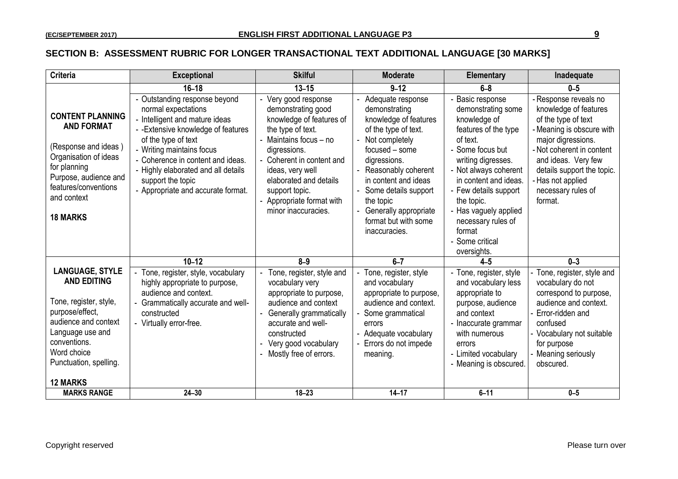#### **SECTION B: ASSESSMENT RUBRIC FOR LONGER TRANSACTIONAL TEXT ADDITIONAL LANGUAGE [30 MARKS]**

| <b>Criteria</b>                                                                                                                                                                                                   | <b>Exceptional</b>                                                                                                                                                                                                                                                                                                       | <b>Skilful</b>                                                                                                                                                                                                                                                                 | <b>Moderate</b>                                                                                                                                                                                                                                                                               | <b>Elementary</b>                                                                                                                                                                                                                                                                                                      | Inadequate                                                                                                                                                                                                                                                   |
|-------------------------------------------------------------------------------------------------------------------------------------------------------------------------------------------------------------------|--------------------------------------------------------------------------------------------------------------------------------------------------------------------------------------------------------------------------------------------------------------------------------------------------------------------------|--------------------------------------------------------------------------------------------------------------------------------------------------------------------------------------------------------------------------------------------------------------------------------|-----------------------------------------------------------------------------------------------------------------------------------------------------------------------------------------------------------------------------------------------------------------------------------------------|------------------------------------------------------------------------------------------------------------------------------------------------------------------------------------------------------------------------------------------------------------------------------------------------------------------------|--------------------------------------------------------------------------------------------------------------------------------------------------------------------------------------------------------------------------------------------------------------|
|                                                                                                                                                                                                                   | $16 - 18$                                                                                                                                                                                                                                                                                                                | $13 - 15$                                                                                                                                                                                                                                                                      | $9 - 12$                                                                                                                                                                                                                                                                                      | $6-8$                                                                                                                                                                                                                                                                                                                  | $0 - 5$                                                                                                                                                                                                                                                      |
| <b>CONTENT PLANNING</b><br><b>AND FORMAT</b><br>(Response and ideas)<br>Organisation of ideas<br>for planning<br>Purpose, audience and<br>features/conventions<br>and context<br><b>18 MARKS</b>                  | - Outstanding response beyond<br>normal expectations<br>- Intelligent and mature ideas<br>- - Extensive knowledge of features<br>of the type of text<br>- Writing maintains focus<br>- Coherence in content and ideas.<br>- Highly elaborated and all details<br>support the topic<br>- Appropriate and accurate format. | Very good response<br>demonstrating good<br>knowledge of features of<br>the type of text.<br>Maintains focus - no<br>digressions.<br>Coherent in content and<br>ideas, very well<br>elaborated and details<br>support topic.<br>Appropriate format with<br>minor inaccuracies. | Adequate response<br>demonstrating<br>knowledge of features<br>of the type of text.<br>Not completely<br>focused – some<br>digressions.<br>Reasonably coherent<br>in content and ideas<br>Some details support<br>the topic<br>Generally appropriate<br>format but with some<br>inaccuracies. | Basic response<br>demonstrating some<br>knowledge of<br>features of the type<br>of text.<br>- Some focus but<br>writing digresses.<br>- Not always coherent<br>in content and ideas.<br>- Few details support<br>the topic.<br>- Has vaguely applied<br>necessary rules of<br>format<br>- Some critical<br>oversights. | - Response reveals no<br>knowledge of features<br>of the type of text<br>Meaning is obscure with<br>major digressions.<br>- Not coherent in content<br>and ideas. Very few<br>details support the topic.<br>Has not applied<br>necessary rules of<br>format. |
|                                                                                                                                                                                                                   | $10 - 12$                                                                                                                                                                                                                                                                                                                | $8 - 9$                                                                                                                                                                                                                                                                        | $6 - 7$                                                                                                                                                                                                                                                                                       | $4-5$                                                                                                                                                                                                                                                                                                                  | $0 - 3$                                                                                                                                                                                                                                                      |
| <b>LANGUAGE, STYLE</b><br><b>AND EDITING</b><br>Tone, register, style,<br>purpose/effect,<br>audience and context<br>Language use and<br>conventions.<br>Word choice<br>Punctuation, spelling.<br><b>12 MARKS</b> | - Tone, register, style, vocabulary<br>highly appropriate to purpose,<br>audience and context.<br>Grammatically accurate and well-<br>constructed<br>- Virtually error-free.                                                                                                                                             | Tone, register, style and<br>vocabulary very<br>appropriate to purpose,<br>audience and context<br><b>Generally grammatically</b><br>accurate and well-<br>constructed<br>Very good vocabulary<br>Mostly free of errors.                                                       | Tone, register, style<br>and vocabulary<br>appropriate to purpose,<br>audience and context.<br>Some grammatical<br>errors<br>Adequate vocabulary<br>Errors do not impede<br>meaning.                                                                                                          | - Tone, register, style<br>and vocabulary less<br>appropriate to<br>purpose, audience<br>and context<br>- Inaccurate grammar<br>with numerous<br>errors<br>- Limited vocabulary<br>- Meaning is obscured.                                                                                                              | Tone, register, style and<br>vocabulary do not<br>correspond to purpose,<br>audience and context.<br>Error-ridden and<br>confused<br>Vocabulary not suitable<br>for purpose<br>Meaning seriously<br>obscured.                                                |
| <b>MARKS RANGE</b>                                                                                                                                                                                                | $24 - 30$                                                                                                                                                                                                                                                                                                                | $18 - 23$                                                                                                                                                                                                                                                                      | $14 - 17$                                                                                                                                                                                                                                                                                     | $6 - 11$                                                                                                                                                                                                                                                                                                               | $0 - 5$                                                                                                                                                                                                                                                      |